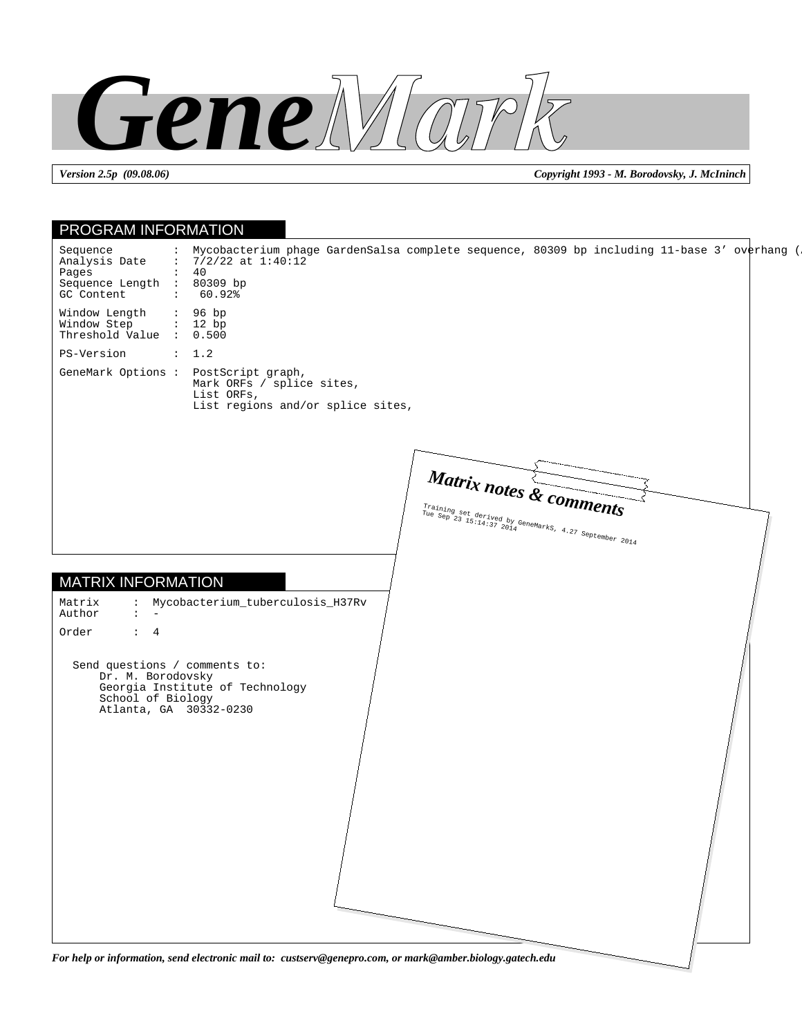

*Version 2.5p (09.08.06) Copyright 1993 - M. Borodovsky, J. McIninch*

| : Mycobacterium phage GardenSalsa complete sequence, 80309 bp including 11-base 3' overhang (<br>Sequence<br>: $7/2/22$ at $1:40:12$<br>Analysis Date<br>$\colon$ 40<br>Pages<br>Sequence Length :<br>80309 bp<br>GC Content<br>60.92%<br>$\mathcal{I} = \{1, \ldots, n\}$<br>Window Length<br>: 96 bp<br>Window Step<br>: 12 bp<br>Threshold Value : 0.500<br>PS-Version<br>$\therefore$ 1.2<br>GeneMark Options : PostScript graph,<br>Mark ORFs / splice sites,<br>List ORFs,<br>List regions and/or splice sites,<br>Matrix notes & comments<br>Training set derived by GeneMarks, 4.27 September 2014<br>$\overbrace{10e}^{2.4844444}_{\text{Sep}} \overbrace{23}^{3.024}_{\text{15}:14:37} \overbrace{2014}^{4.4844}_{\text{20}} \overbrace{2014}^{10}$<br>: Mycobacterium_tuberculosis_H37Rv<br>Matrix<br>Author<br>$2 - 4 - 1 = 1$<br>Order<br>$\colon$ 4<br>Send questions / comments to:<br>Dr. M. Borodovsky<br>Georgia Institute of Technology<br>School of Biology<br>Atlanta, GA 30332-0230 | PROGRAM INFORMATION |  |
|-----------------------------------------------------------------------------------------------------------------------------------------------------------------------------------------------------------------------------------------------------------------------------------------------------------------------------------------------------------------------------------------------------------------------------------------------------------------------------------------------------------------------------------------------------------------------------------------------------------------------------------------------------------------------------------------------------------------------------------------------------------------------------------------------------------------------------------------------------------------------------------------------------------------------------------------------------------------------------------------------------------|---------------------|--|
| <b>MATRIX INFORMATION</b>                                                                                                                                                                                                                                                                                                                                                                                                                                                                                                                                                                                                                                                                                                                                                                                                                                                                                                                                                                                 |                     |  |
|                                                                                                                                                                                                                                                                                                                                                                                                                                                                                                                                                                                                                                                                                                                                                                                                                                                                                                                                                                                                           |                     |  |
|                                                                                                                                                                                                                                                                                                                                                                                                                                                                                                                                                                                                                                                                                                                                                                                                                                                                                                                                                                                                           |                     |  |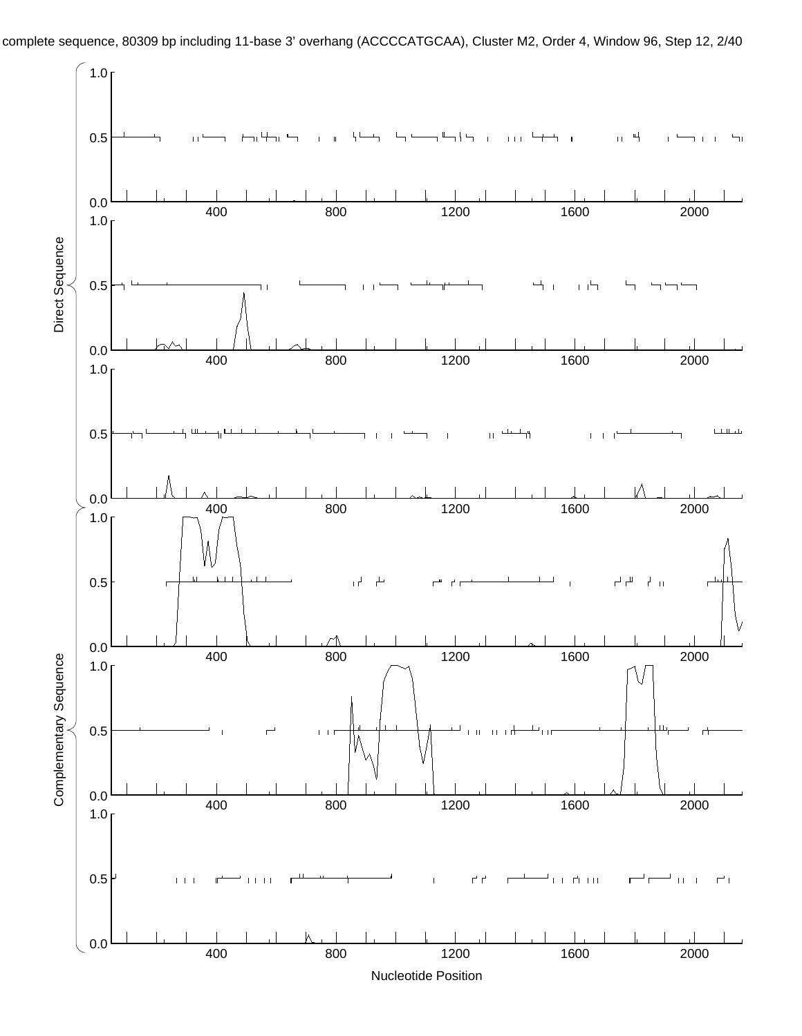

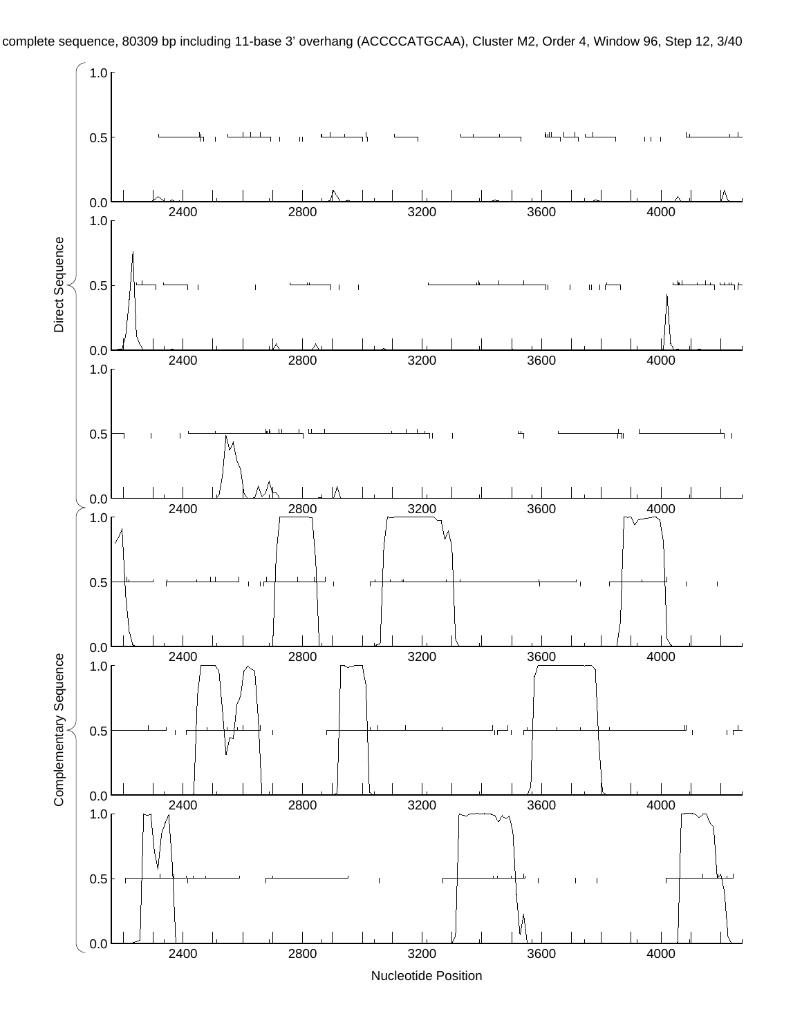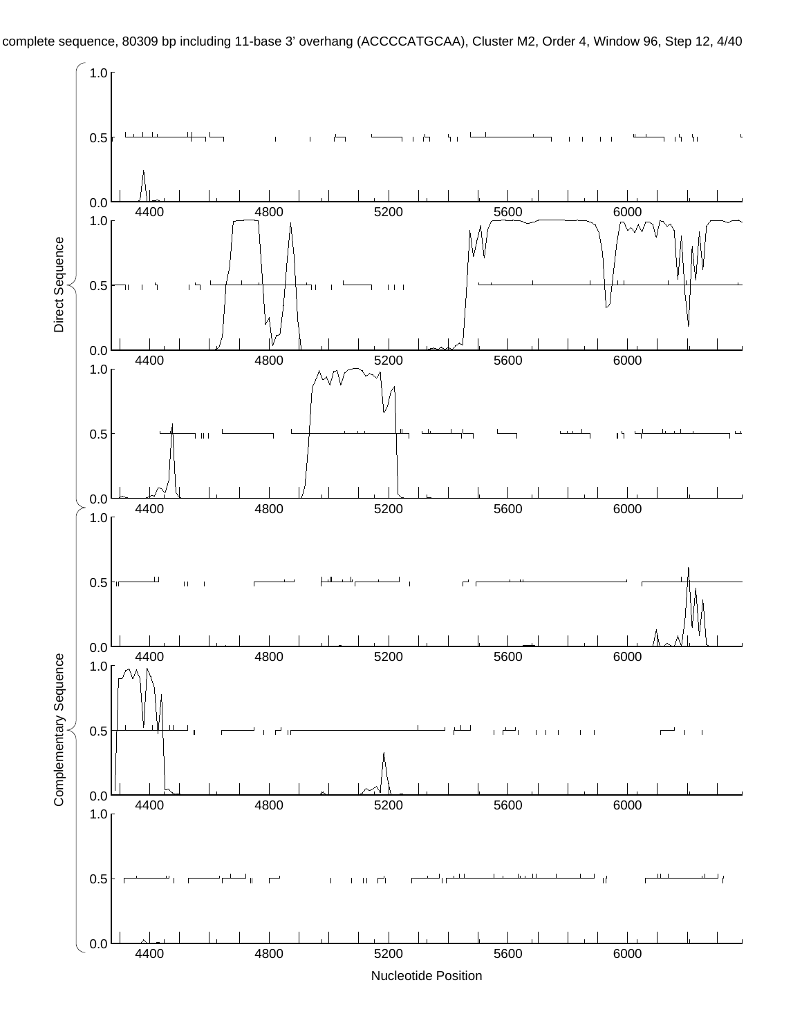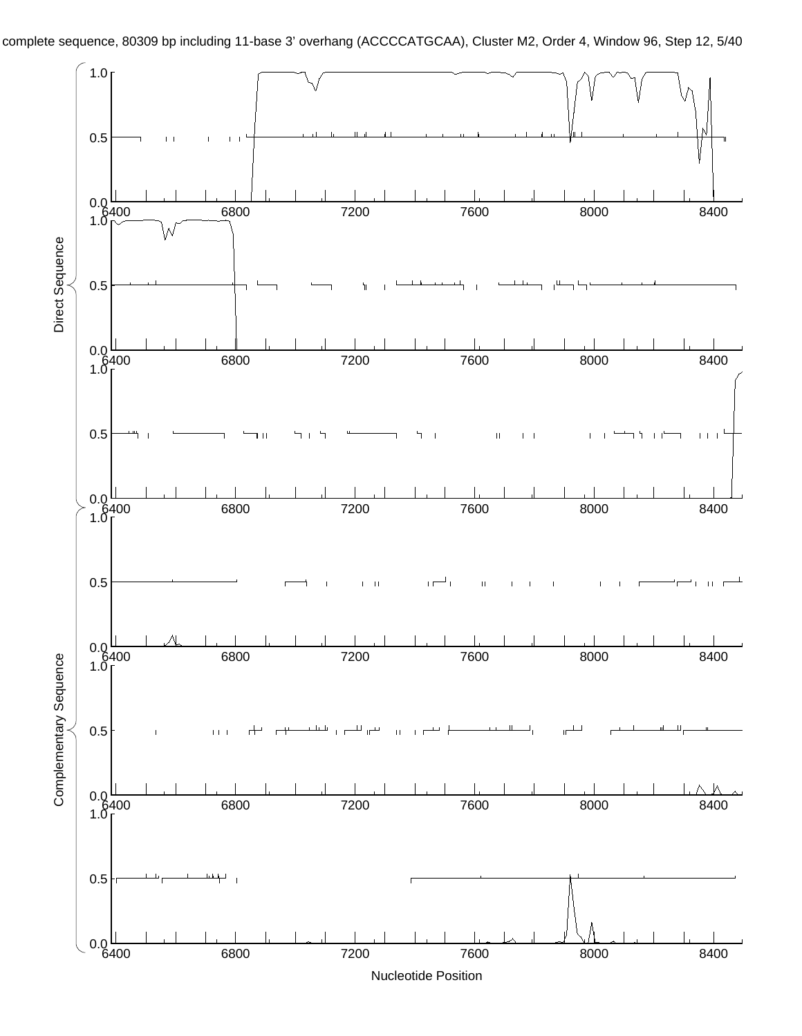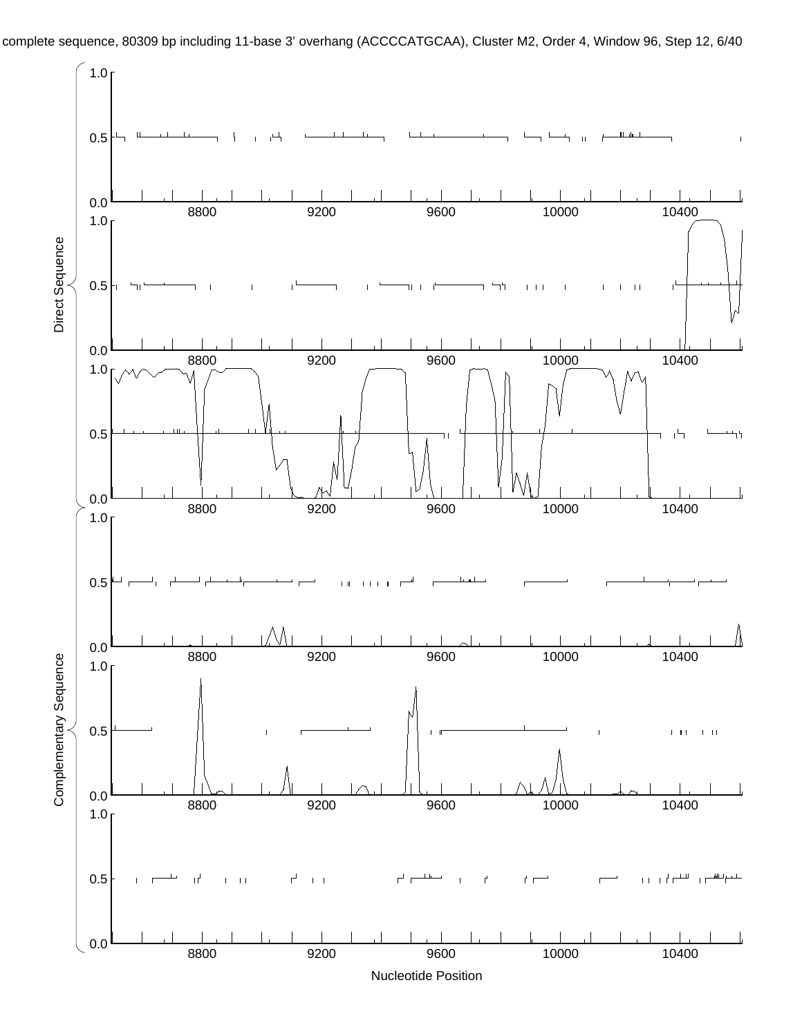

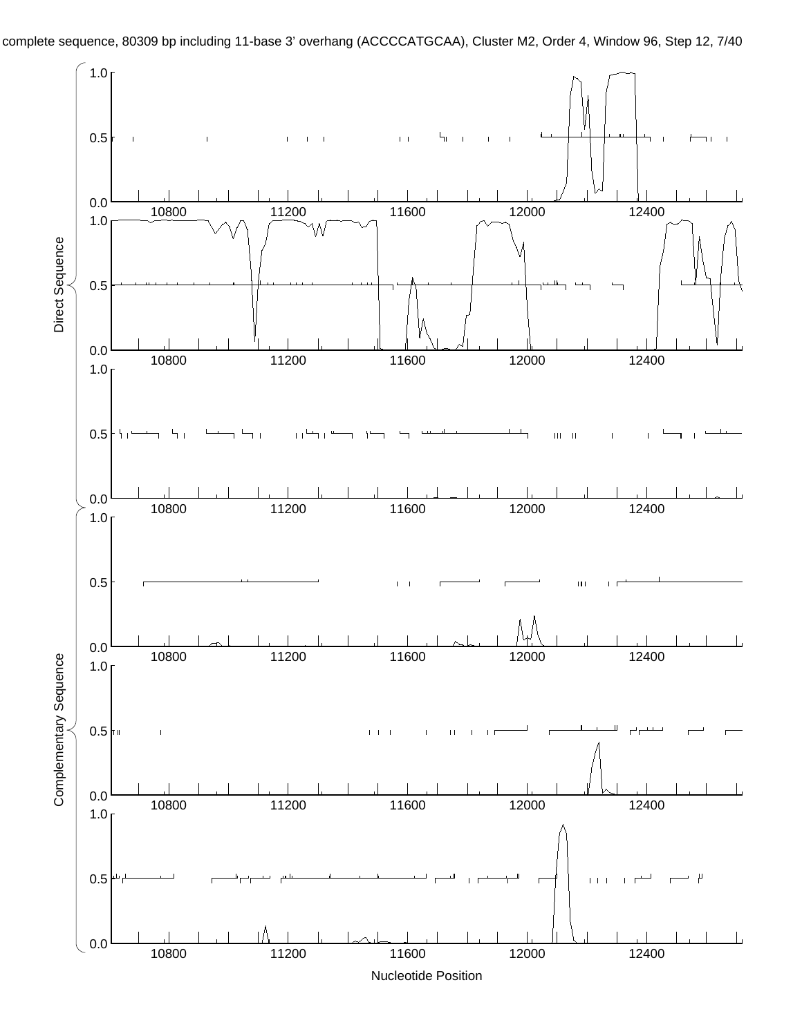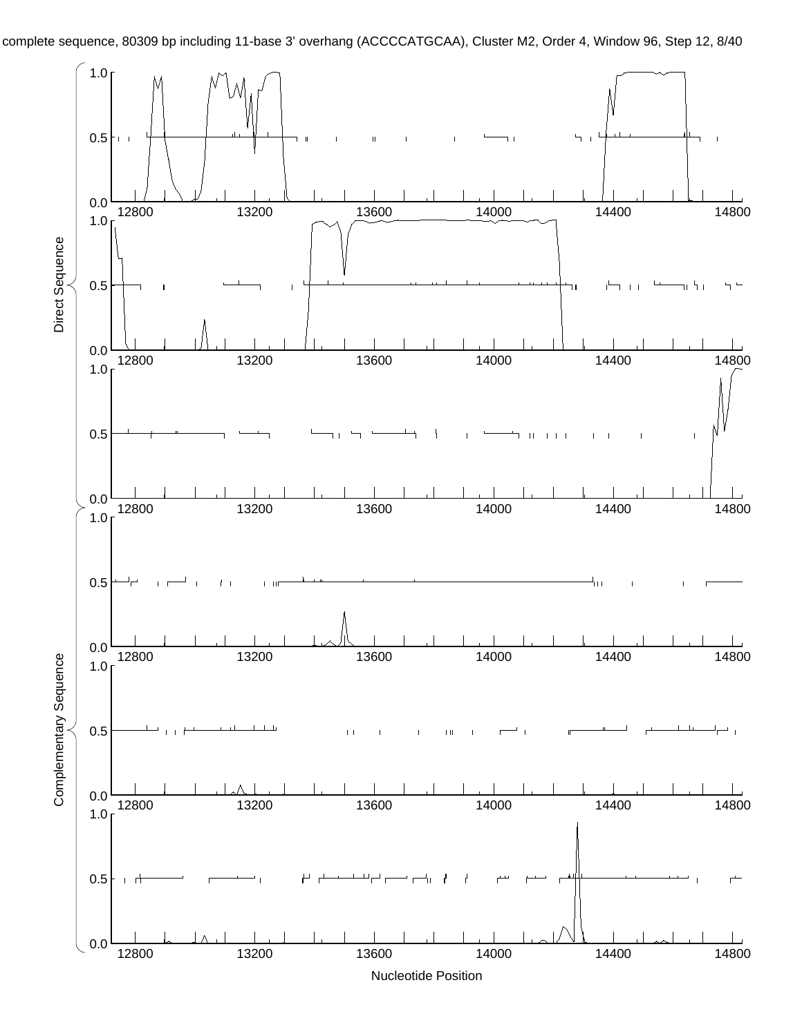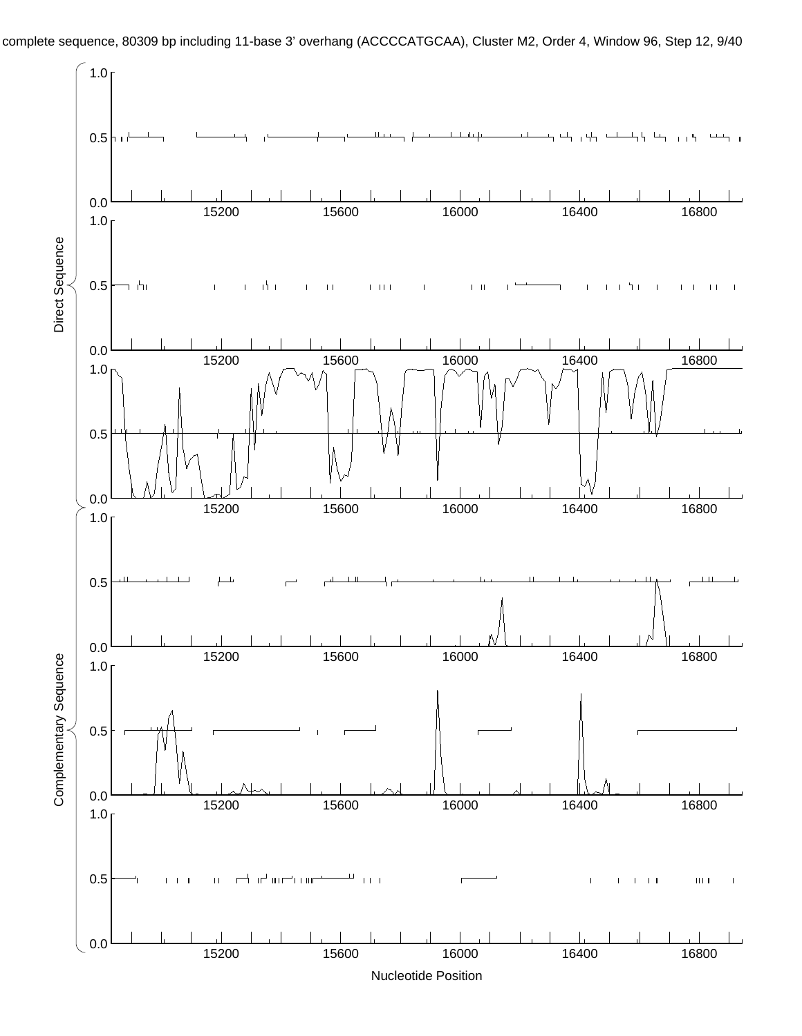

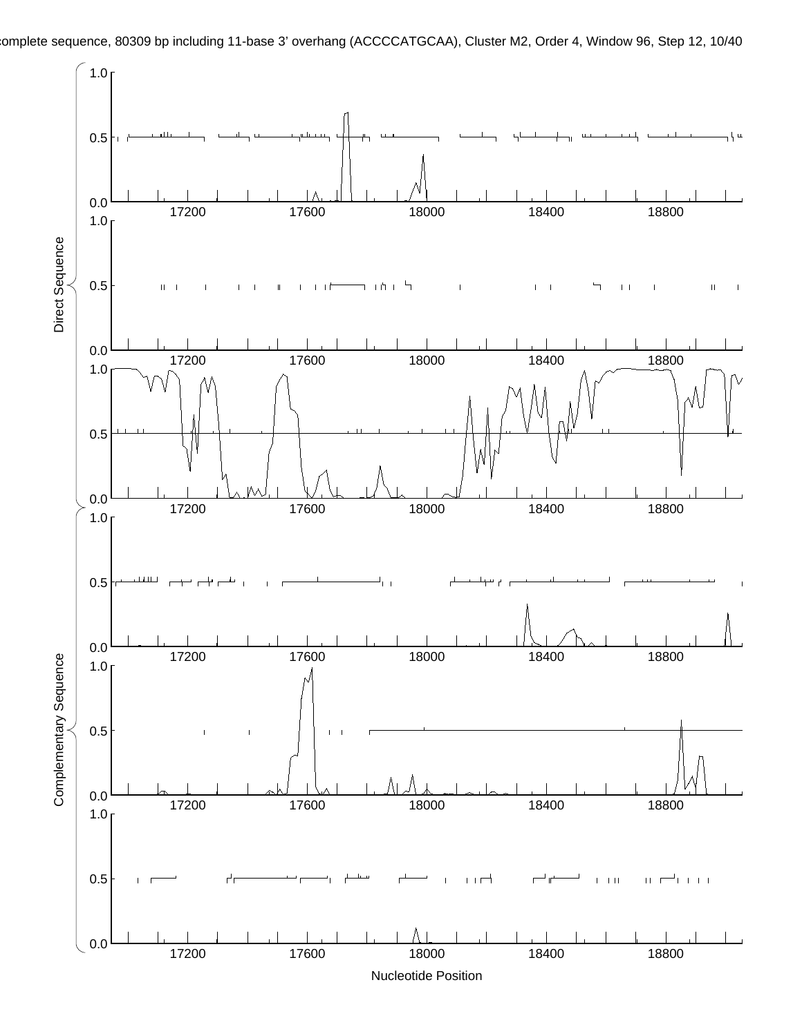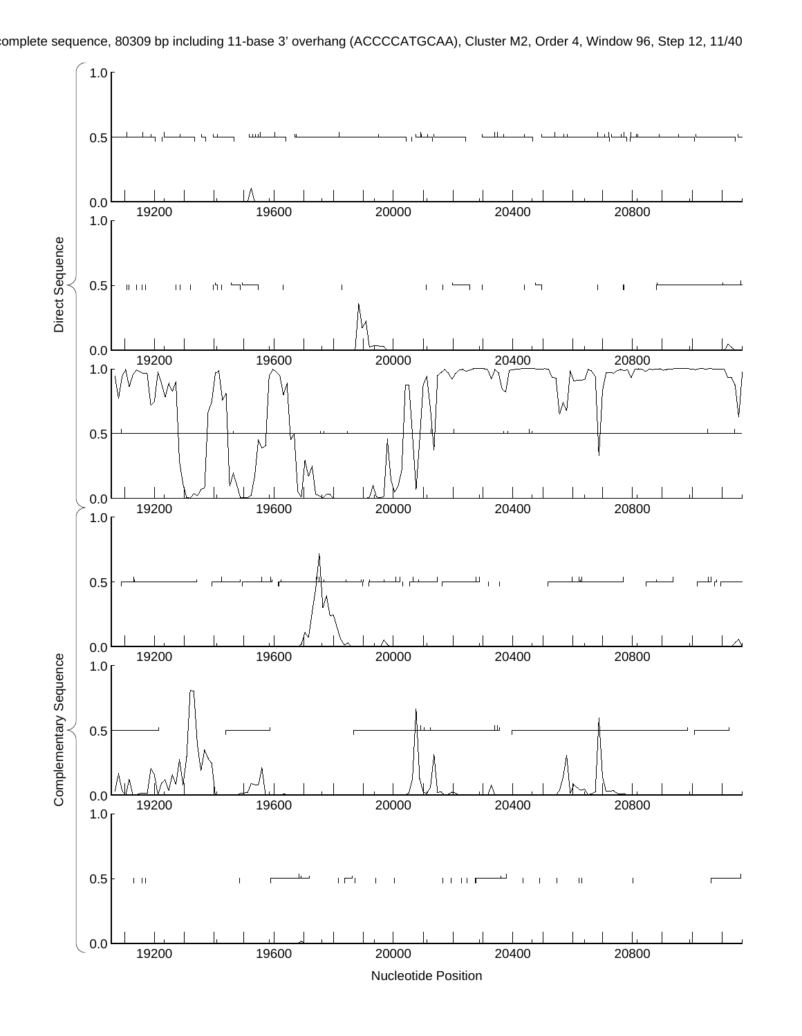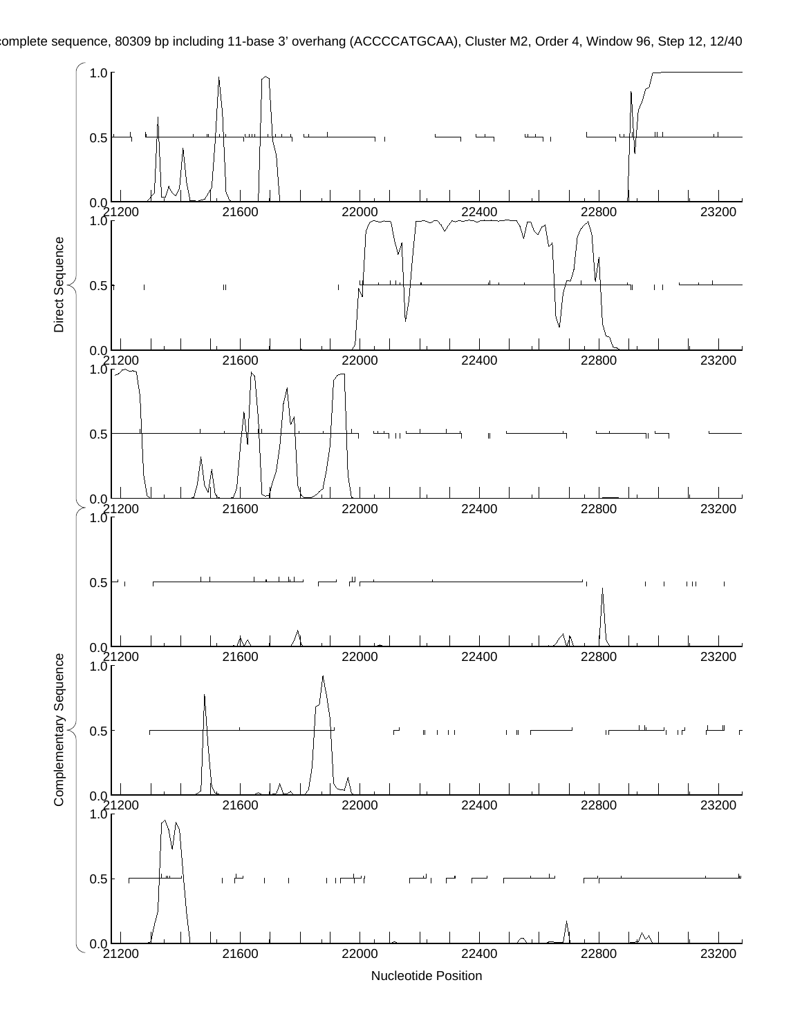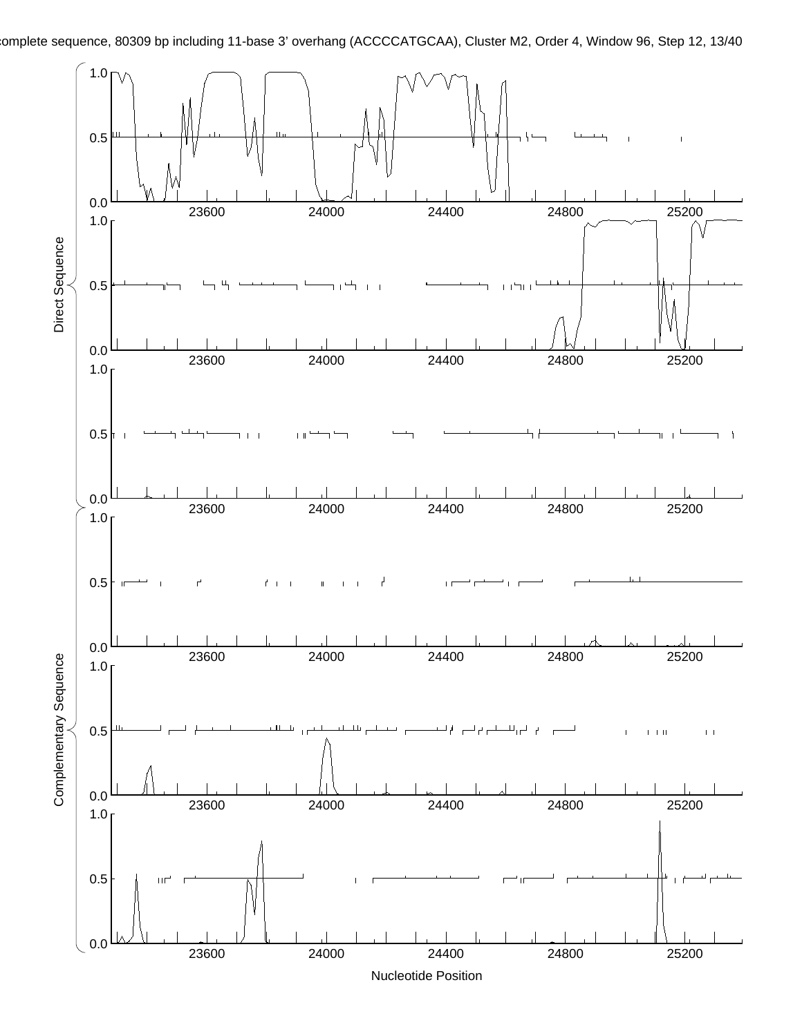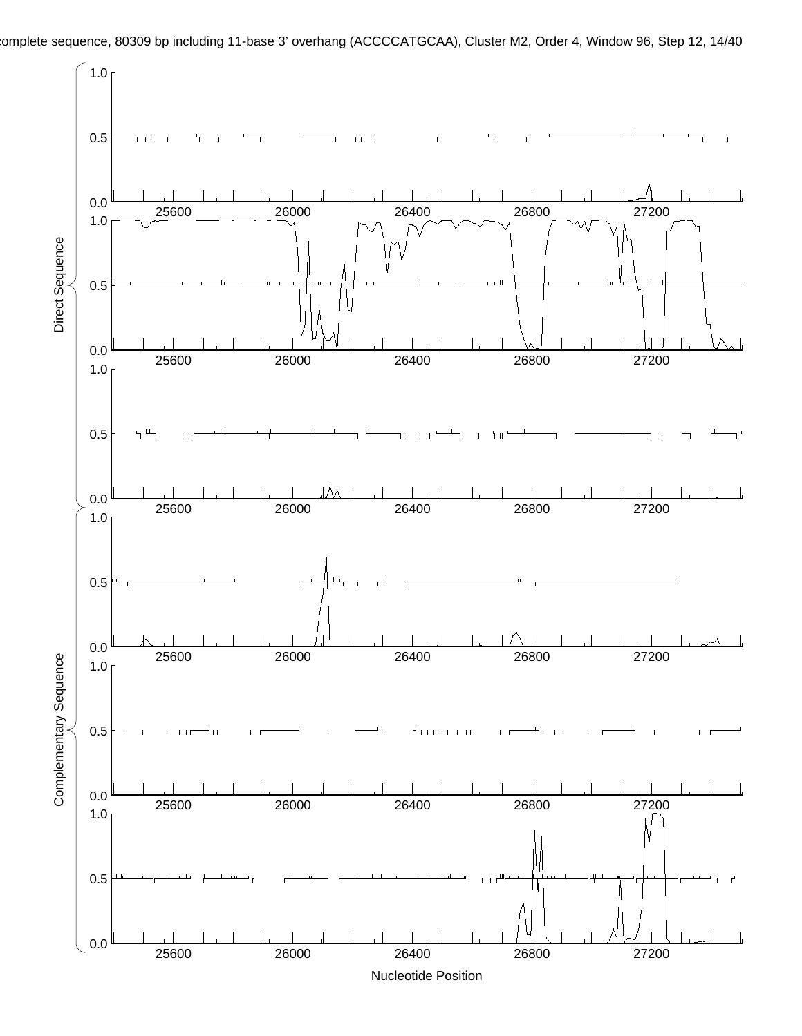

omplete sequence, 80309 bp including 11-base 3' overhang (ACCCCATGCAA), Cluster M2, Order 4, Window 96, Step 12, 14/40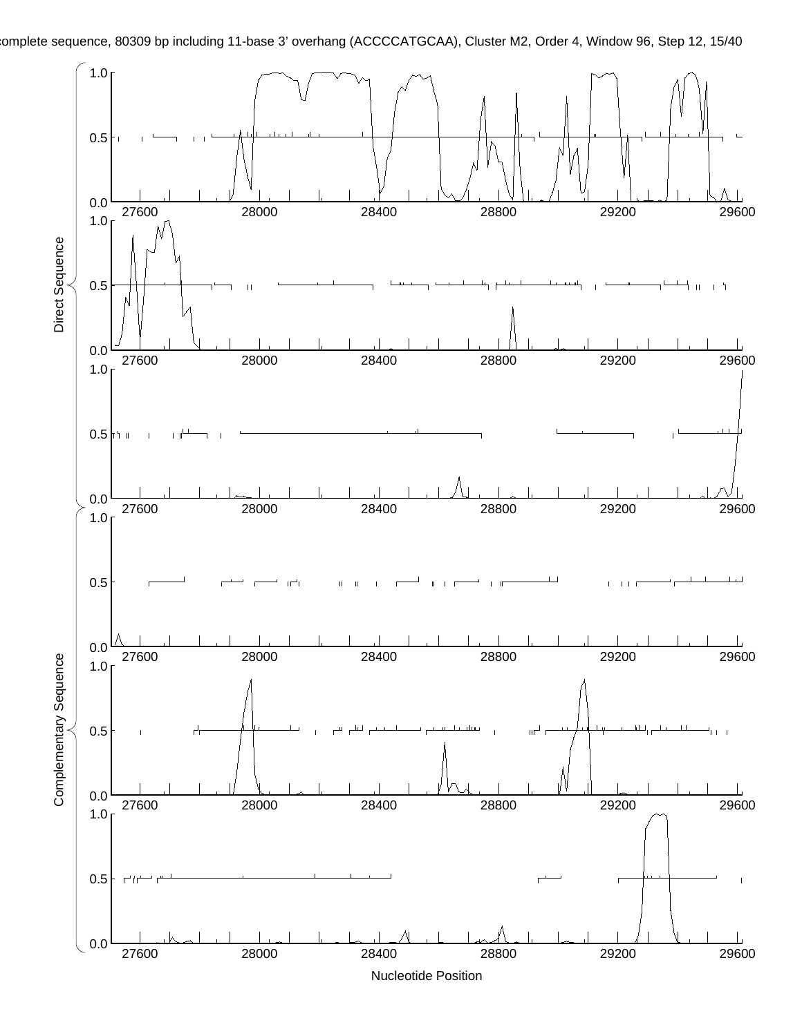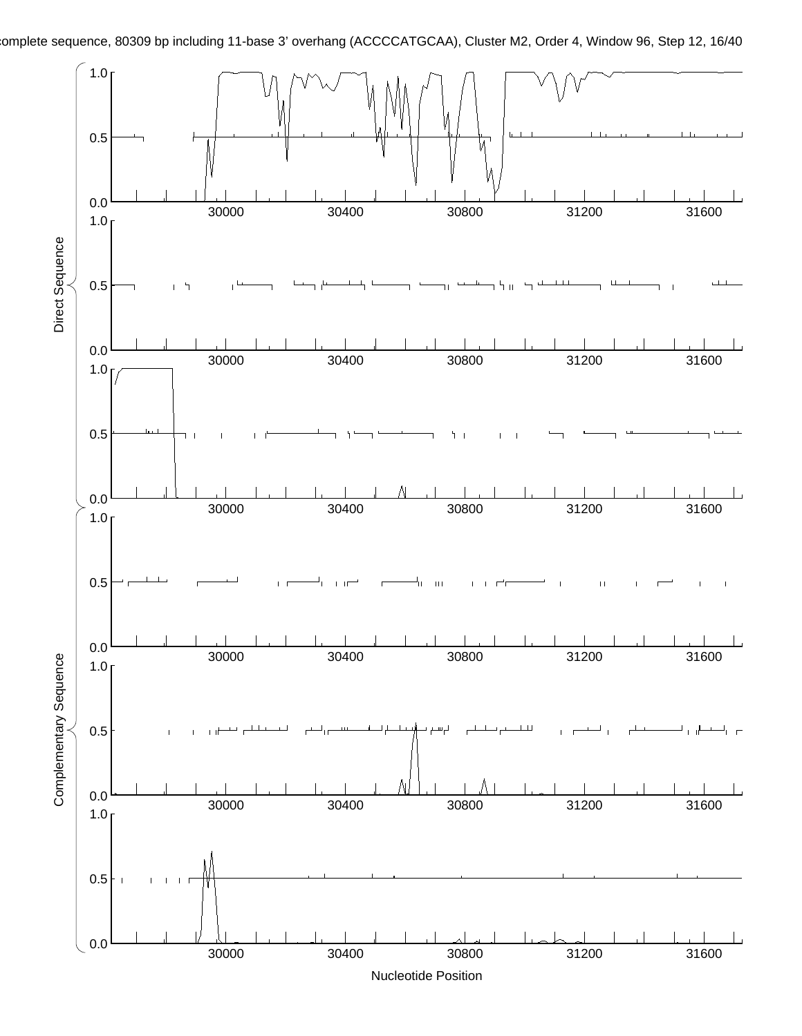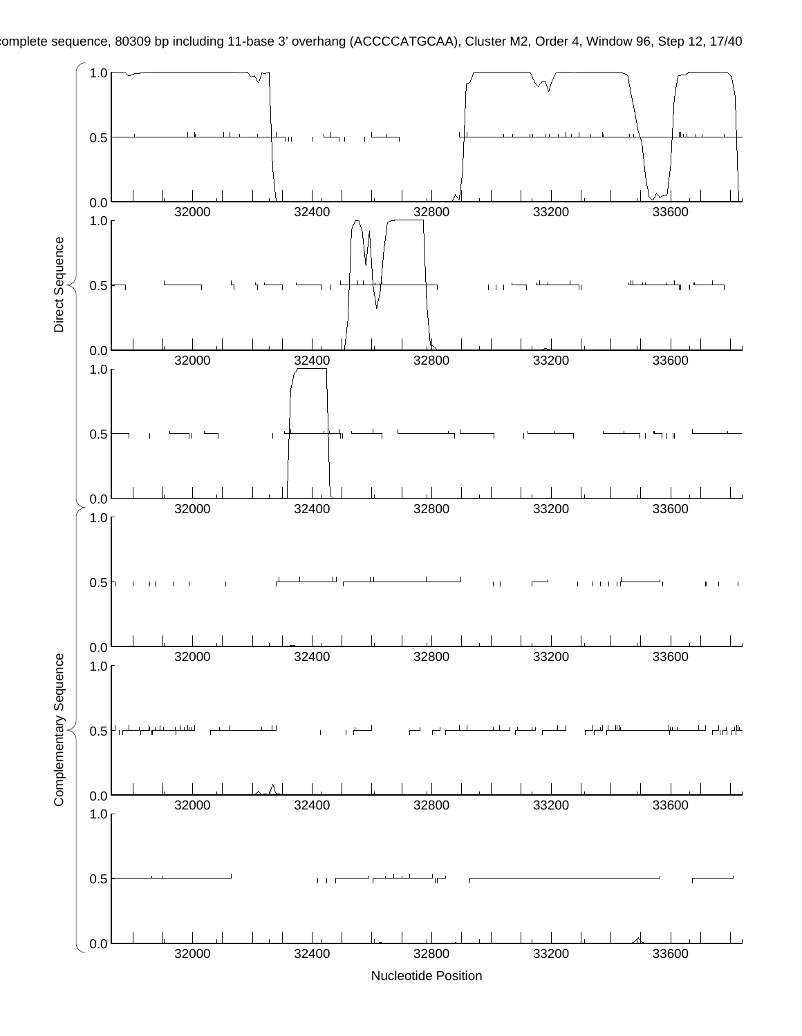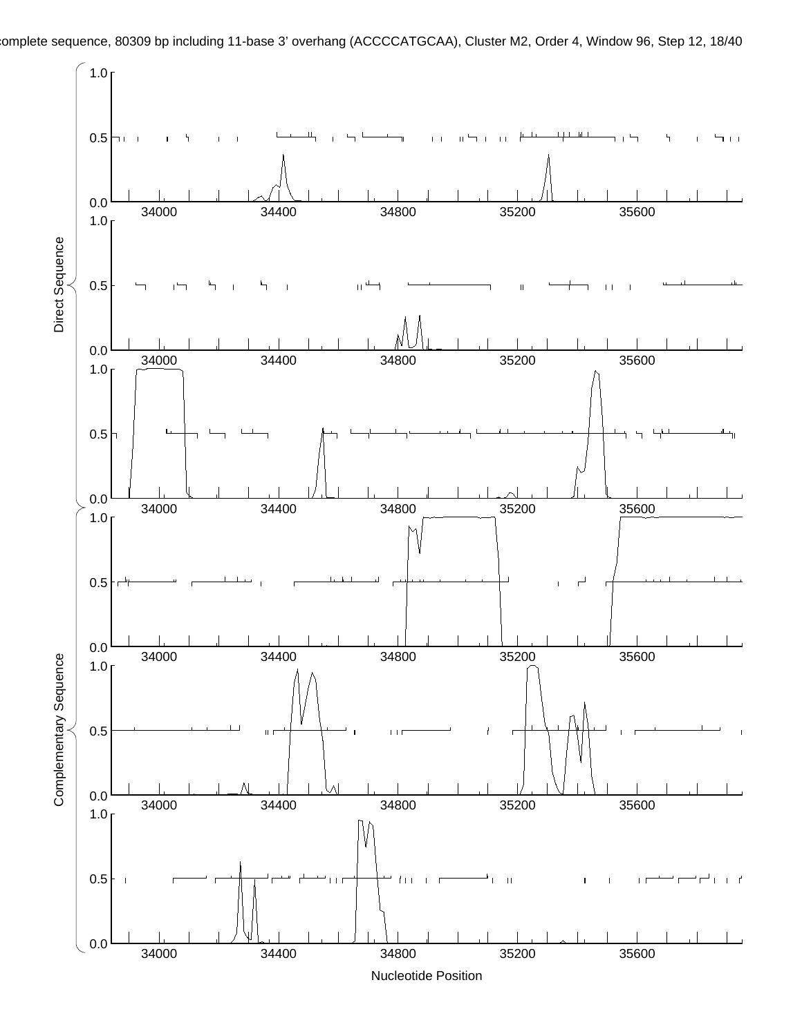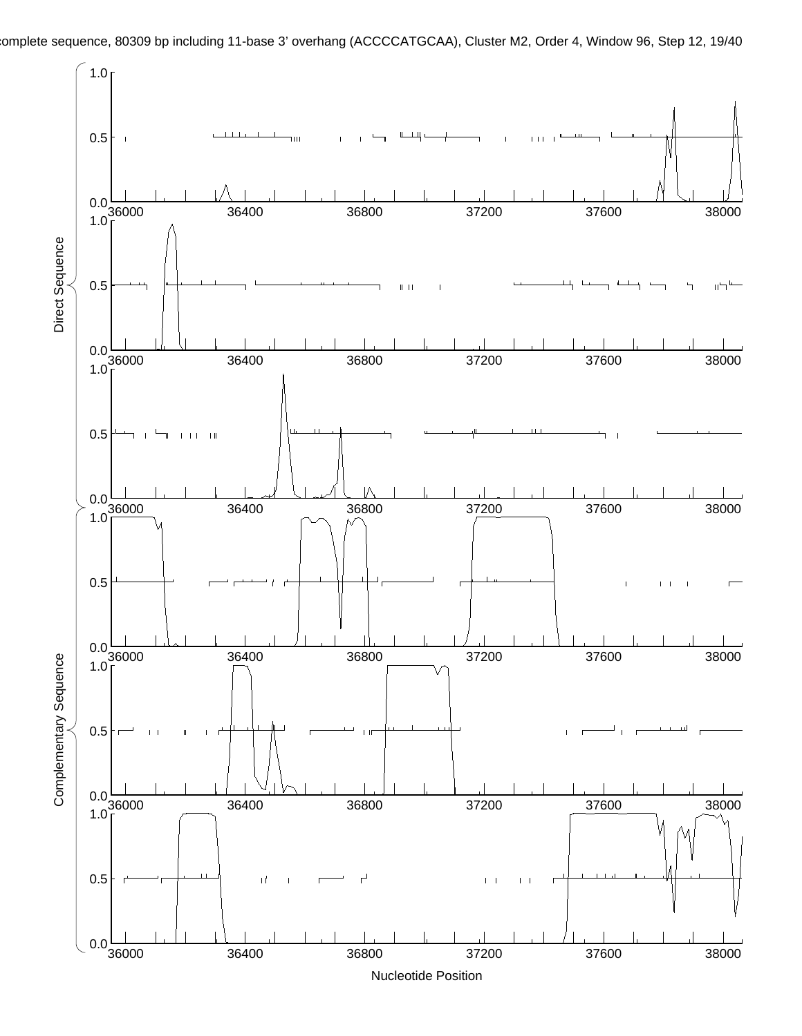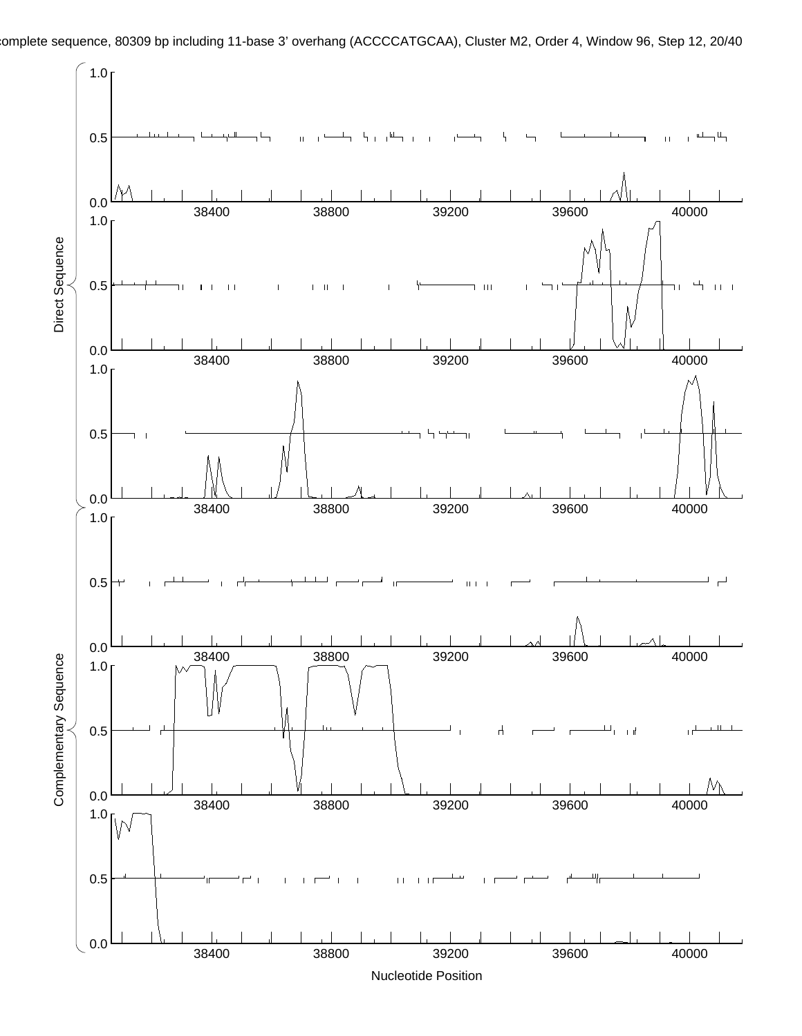

omplete sequence, 80309 bp including 11-base 3' overhang (ACCCCATGCAA), Cluster M2, Order 4, Window 96, Step 12, 20/40

38400 38800 39200 39600 40000

0.0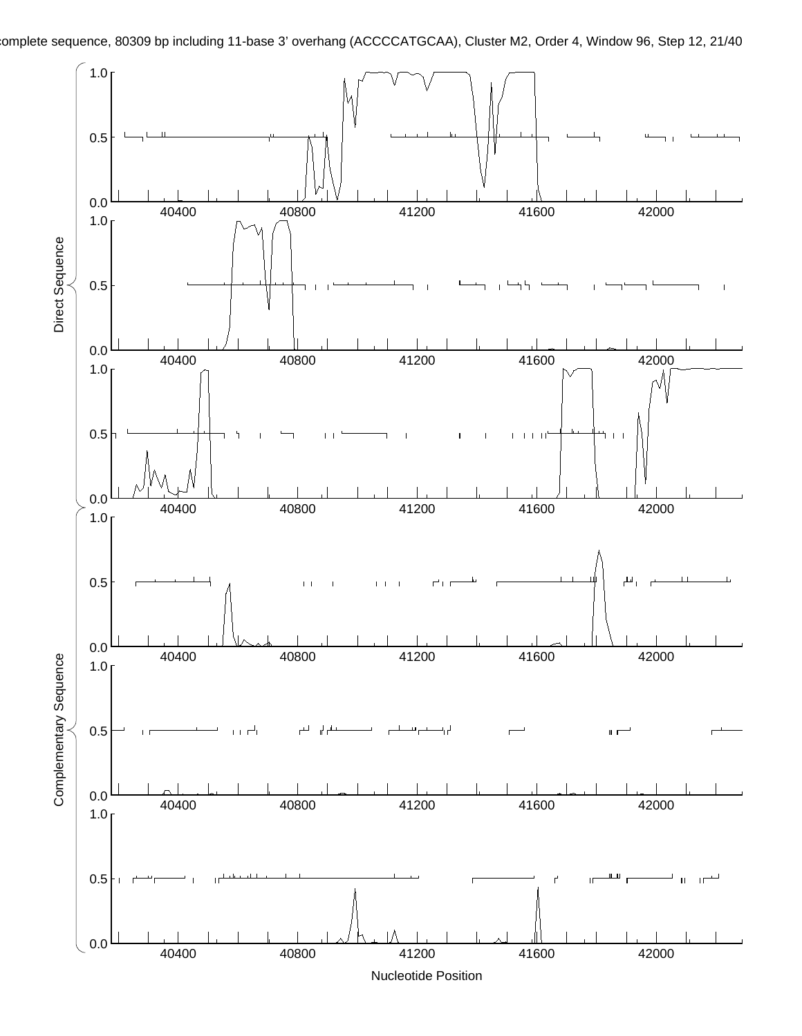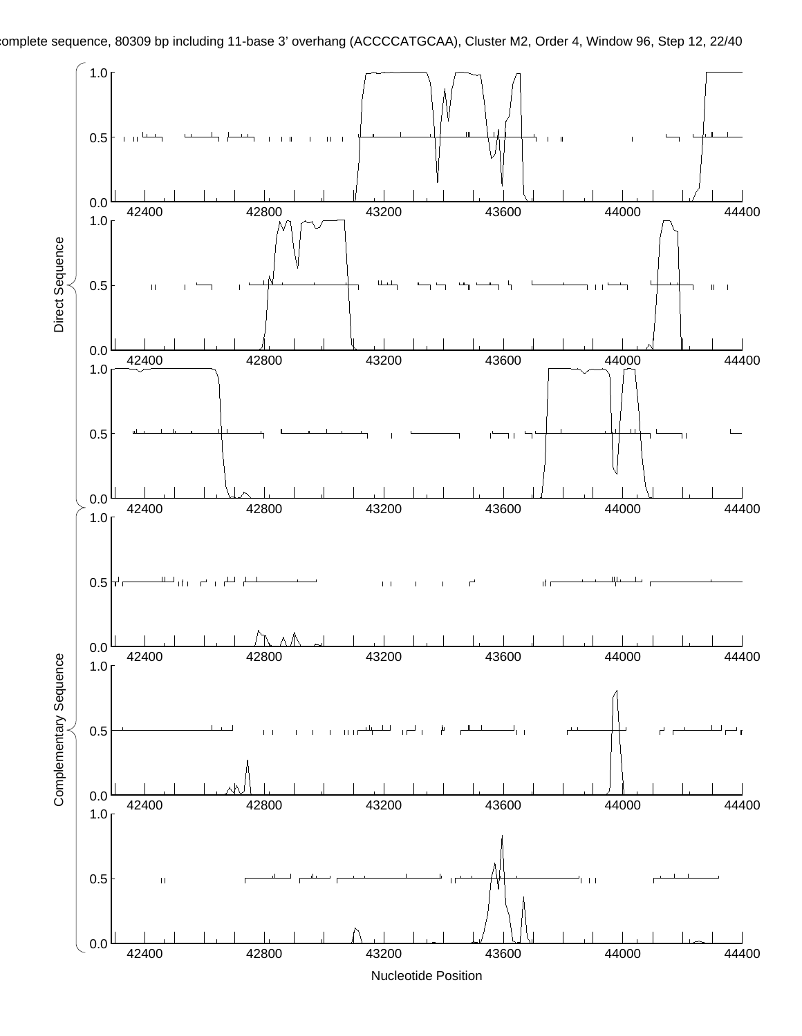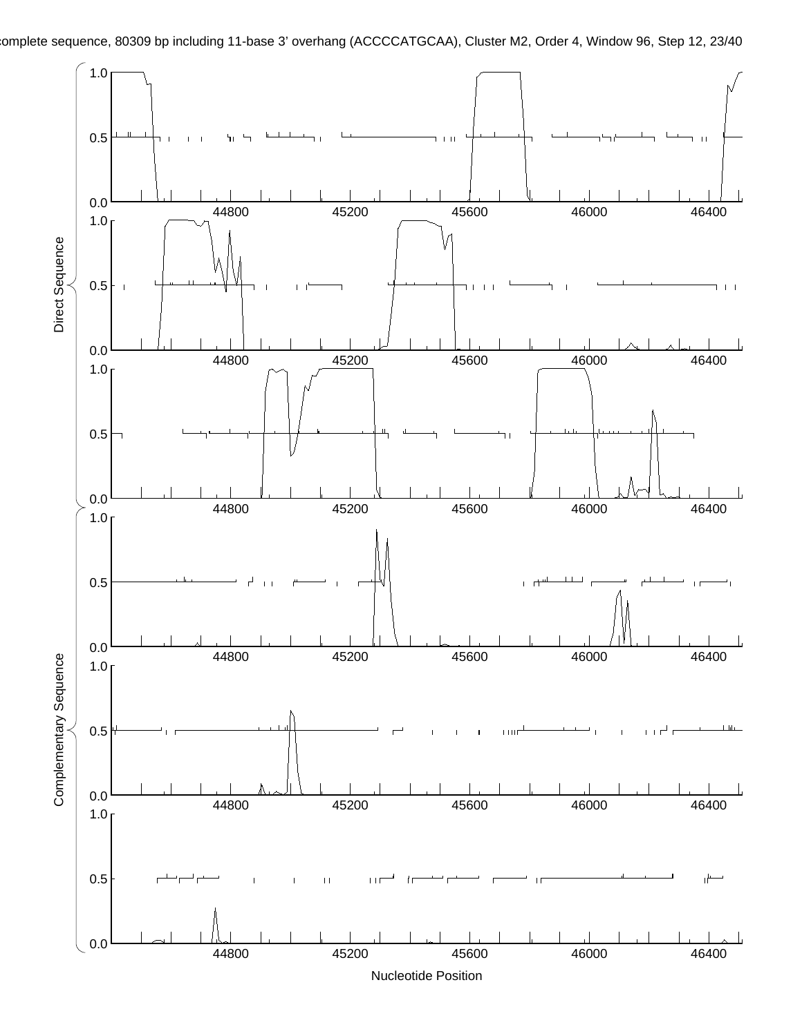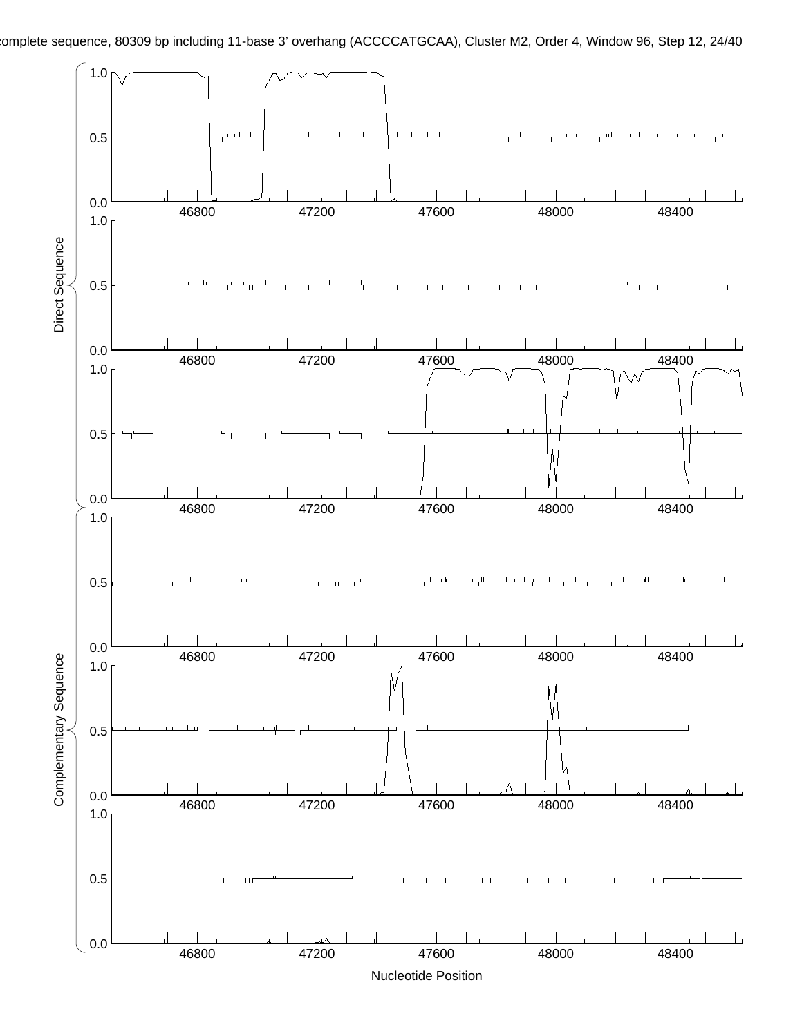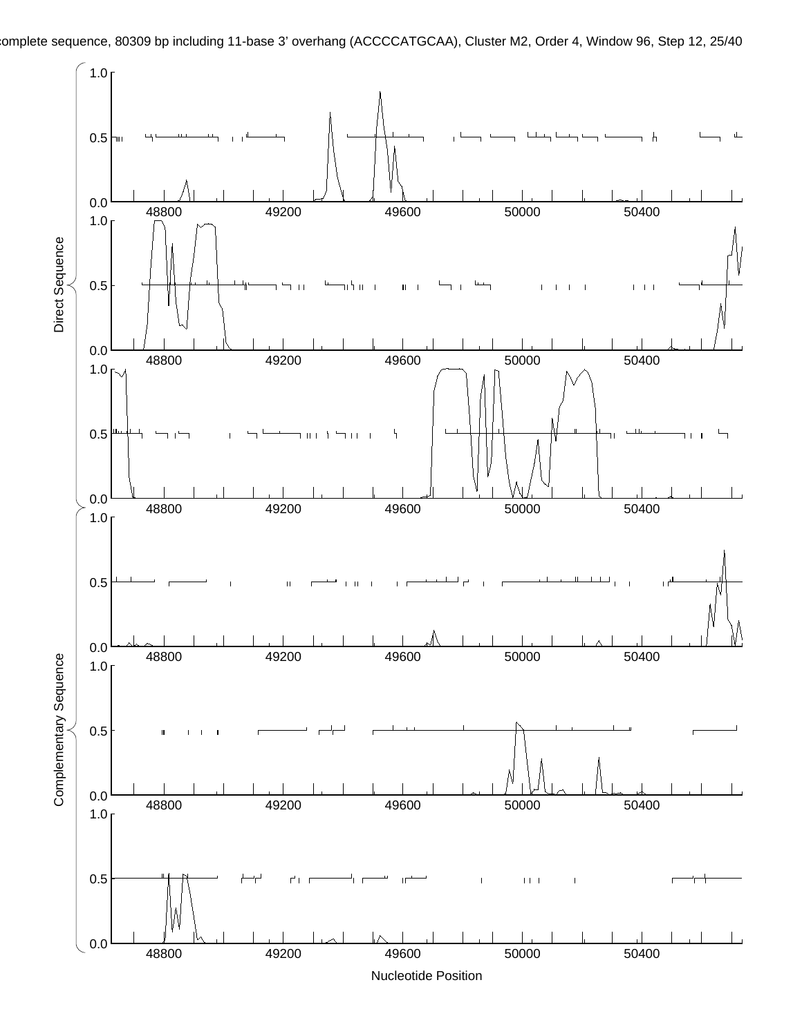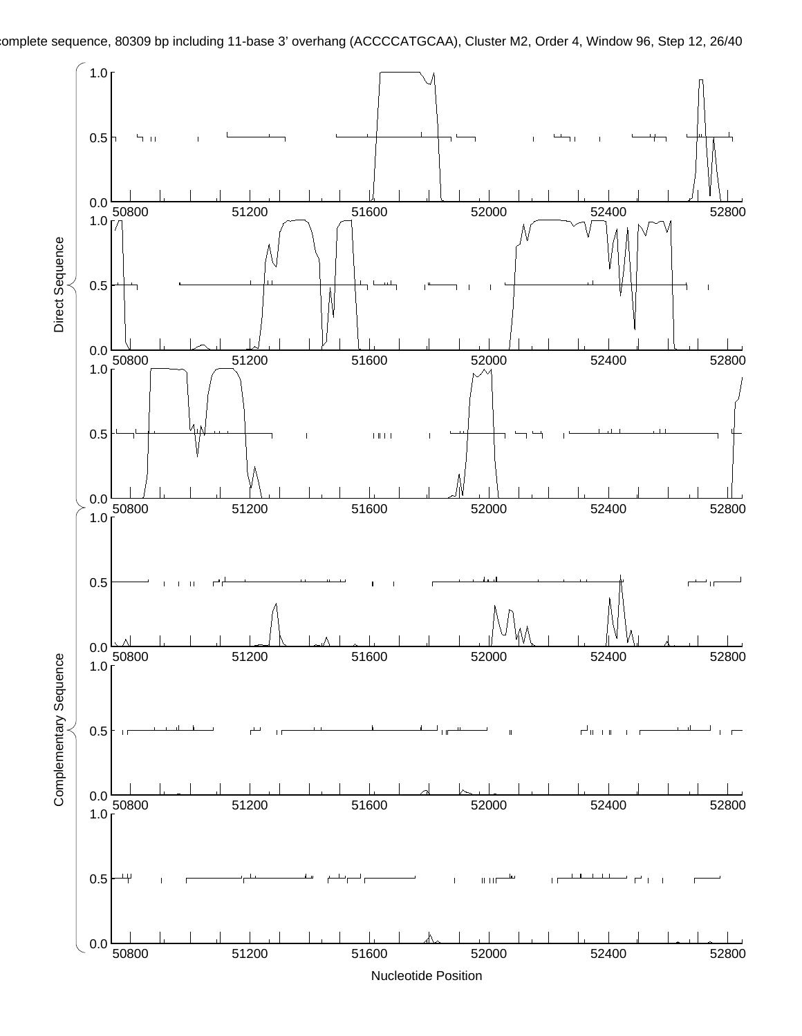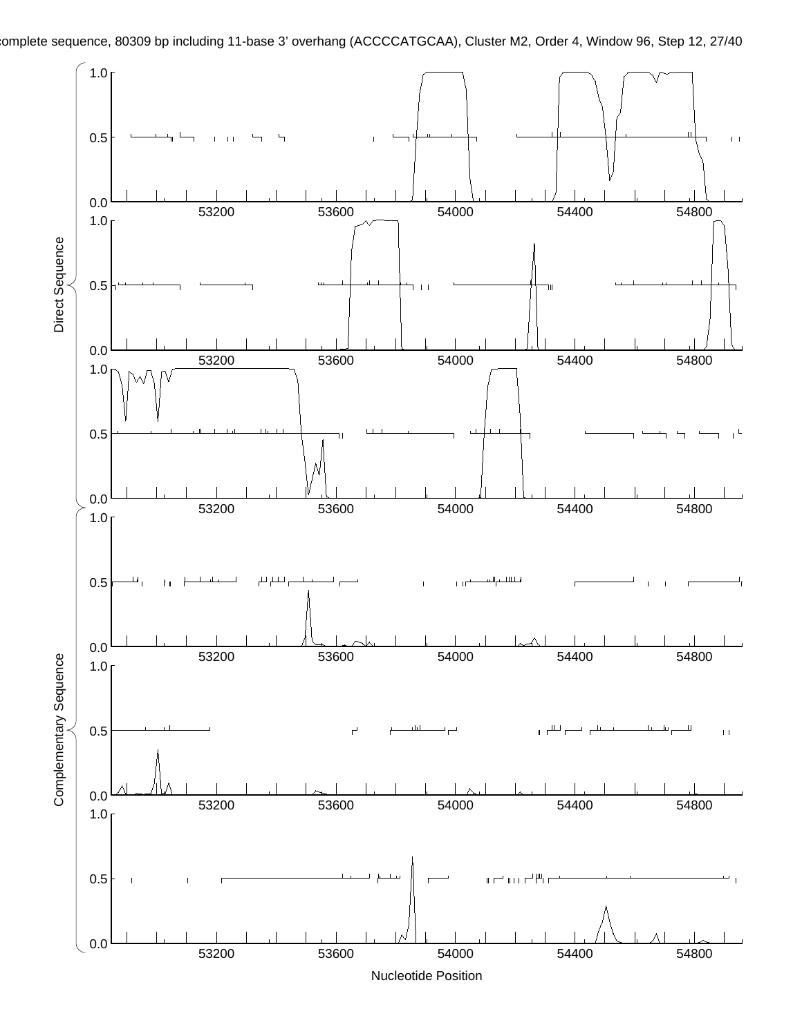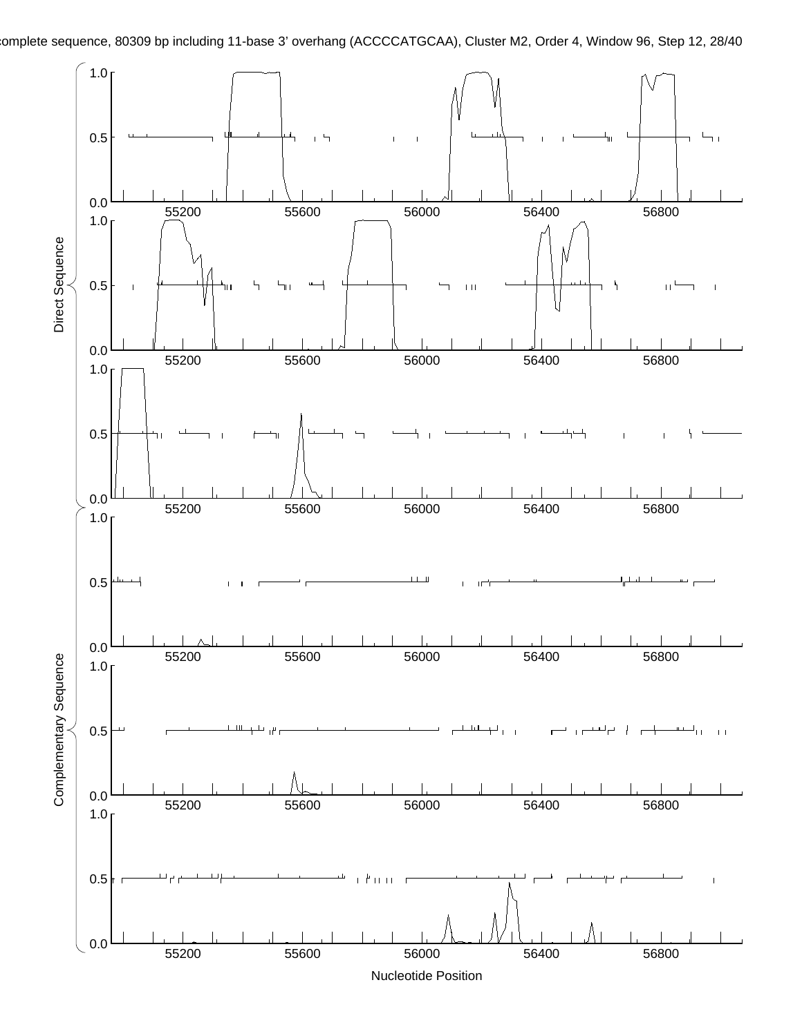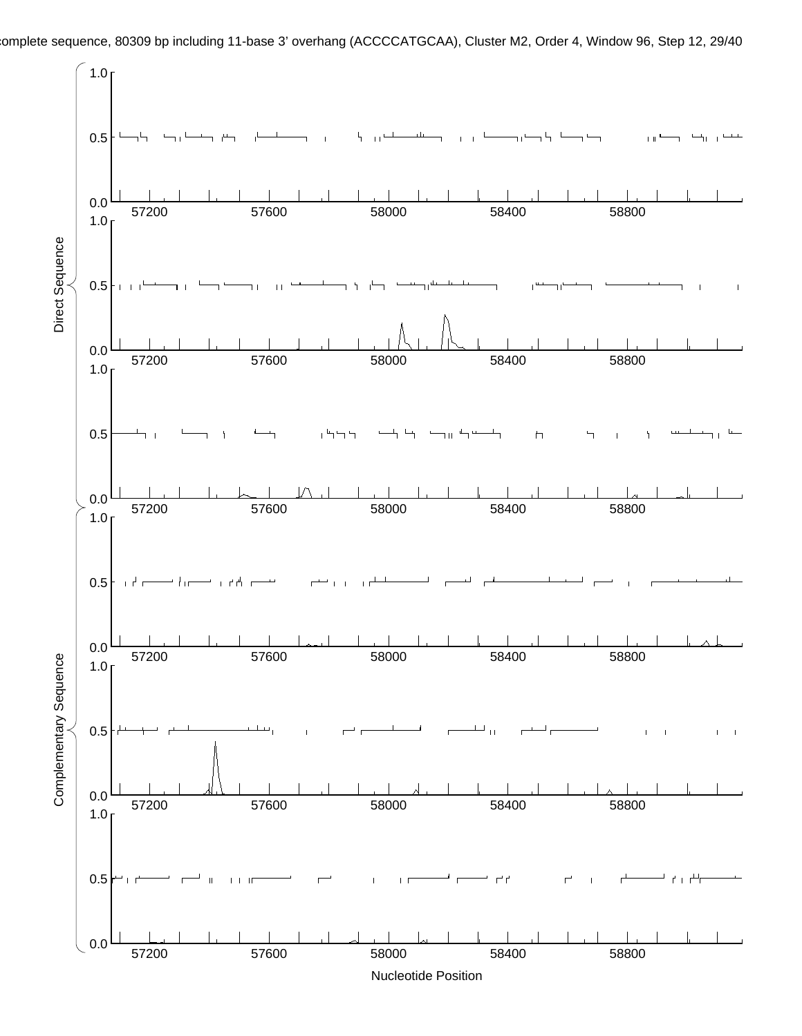

omplete sequence, 80309 bp including 11-base 3' overhang (ACCCCATGCAA), Cluster M2, Order 4, Window 96, Step 12, 29/40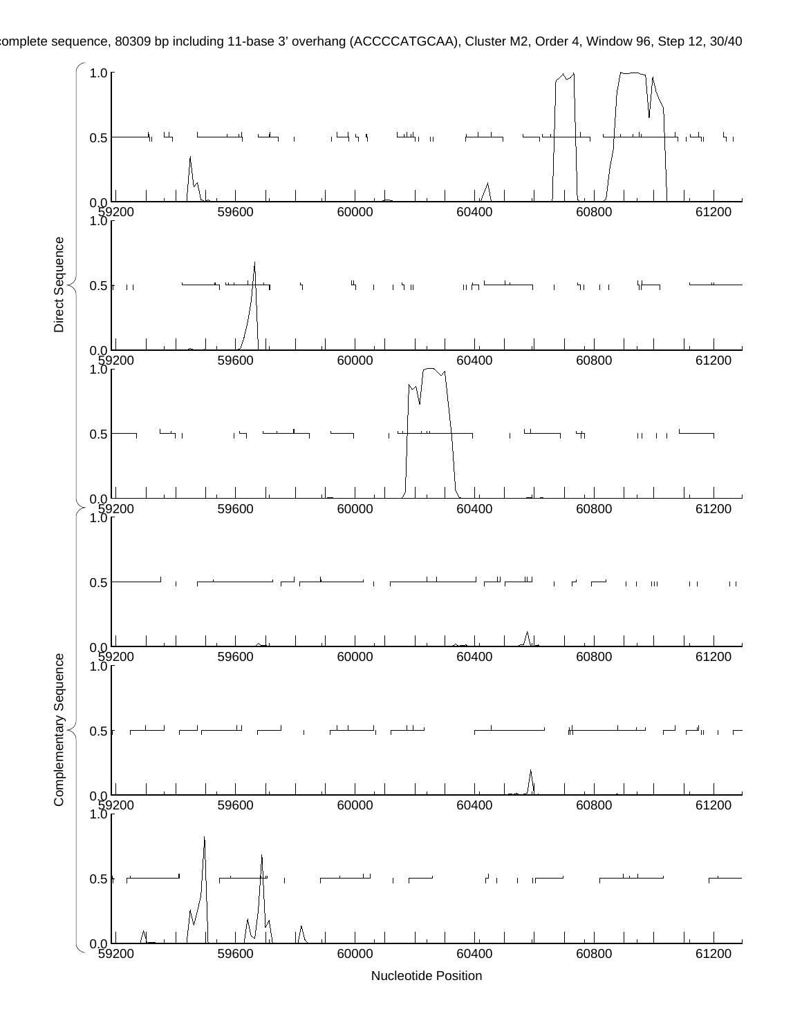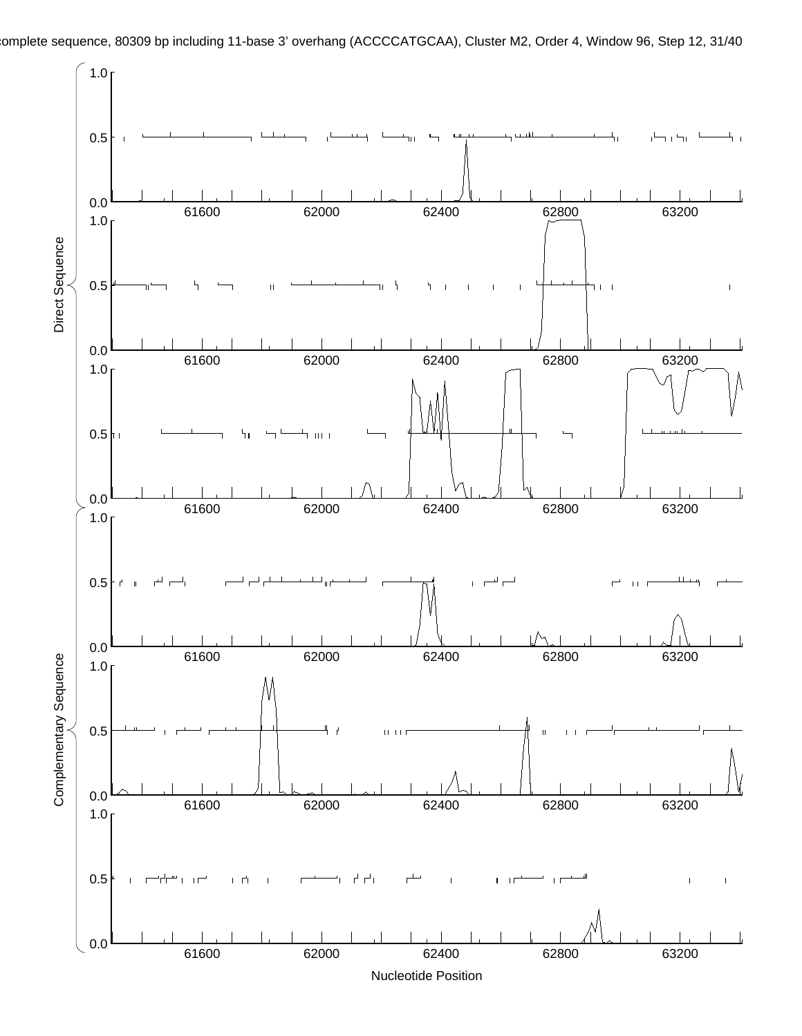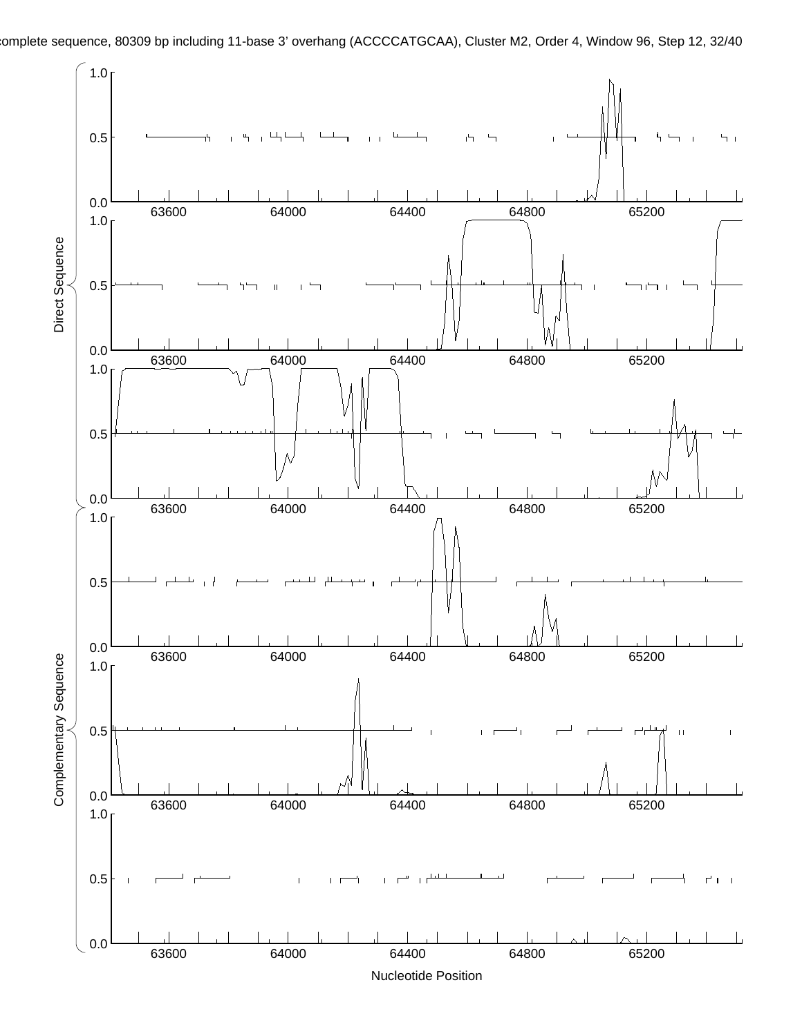

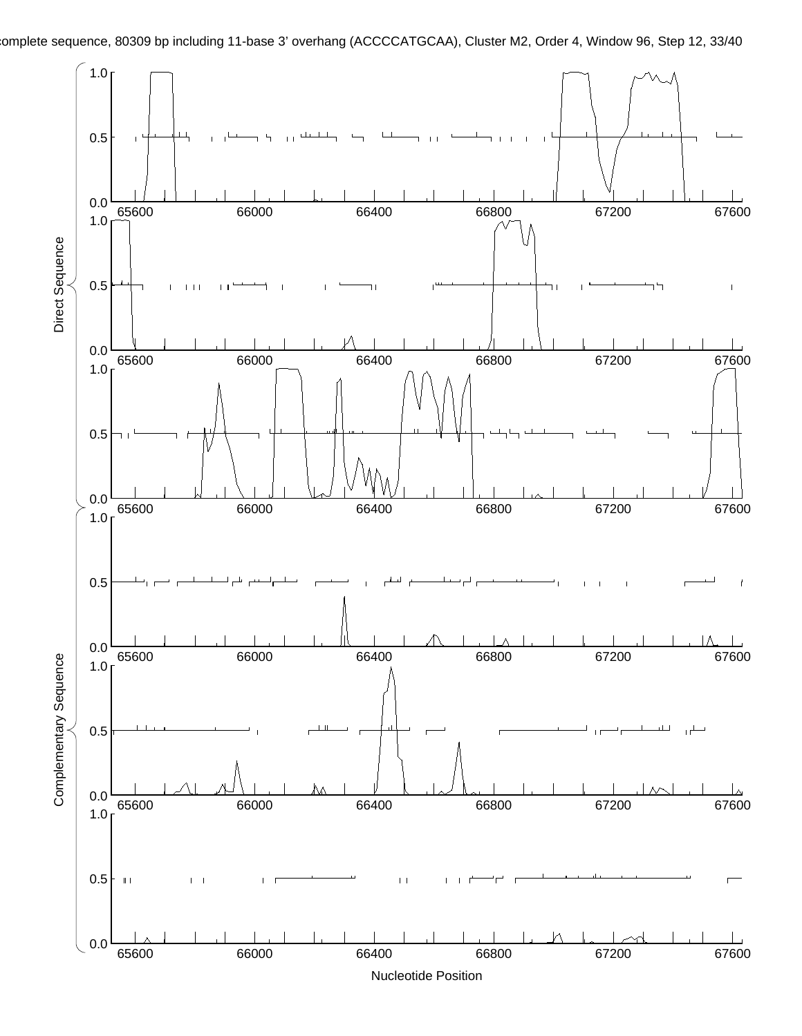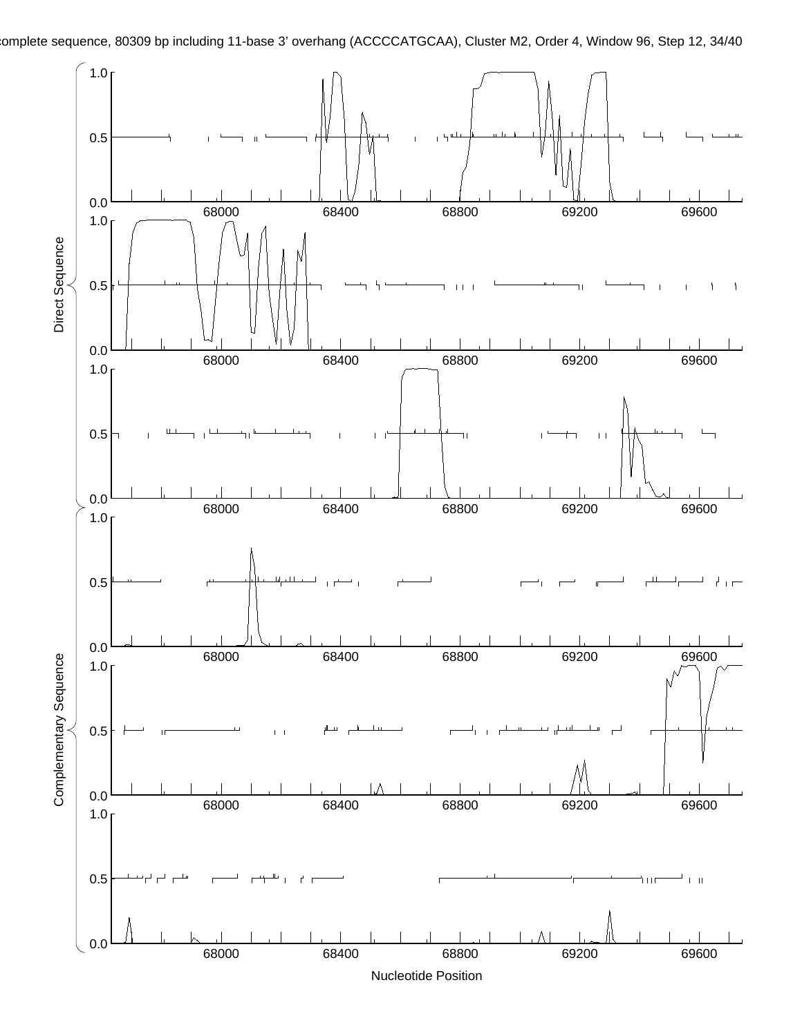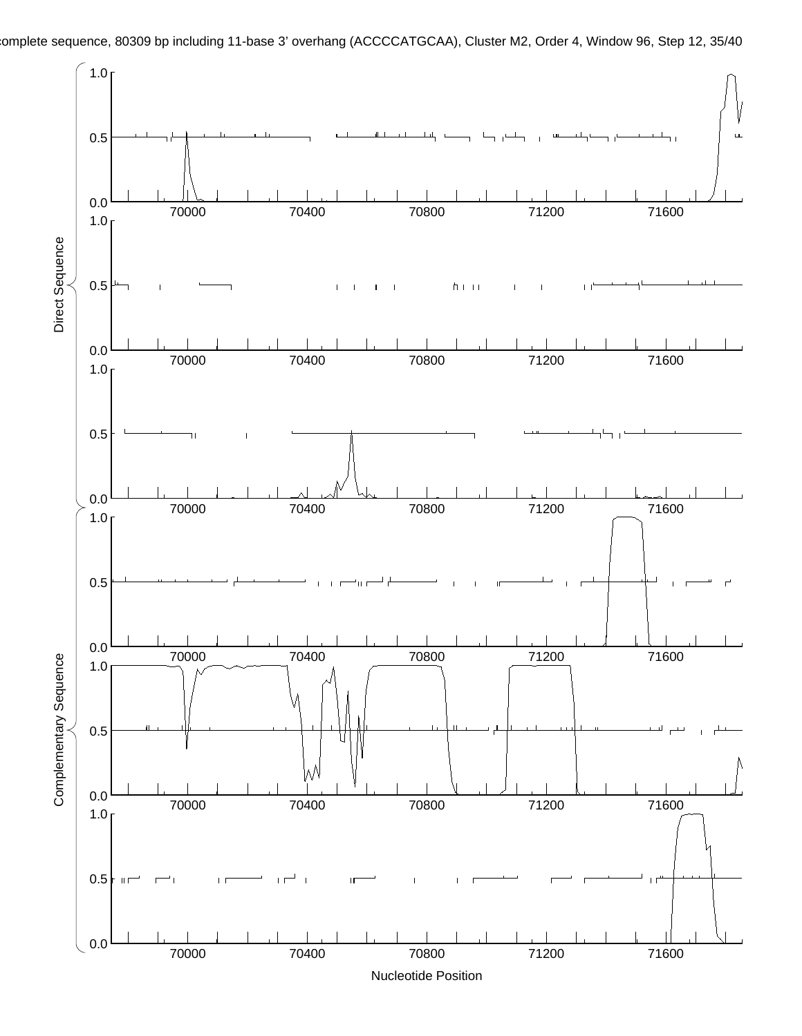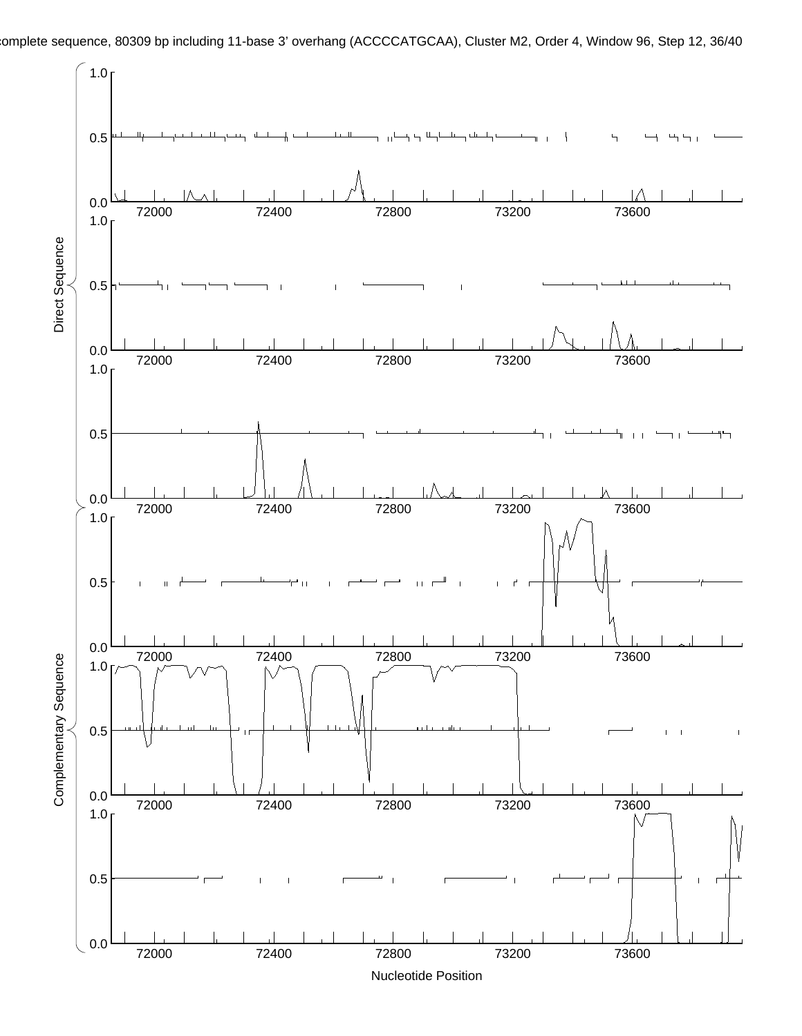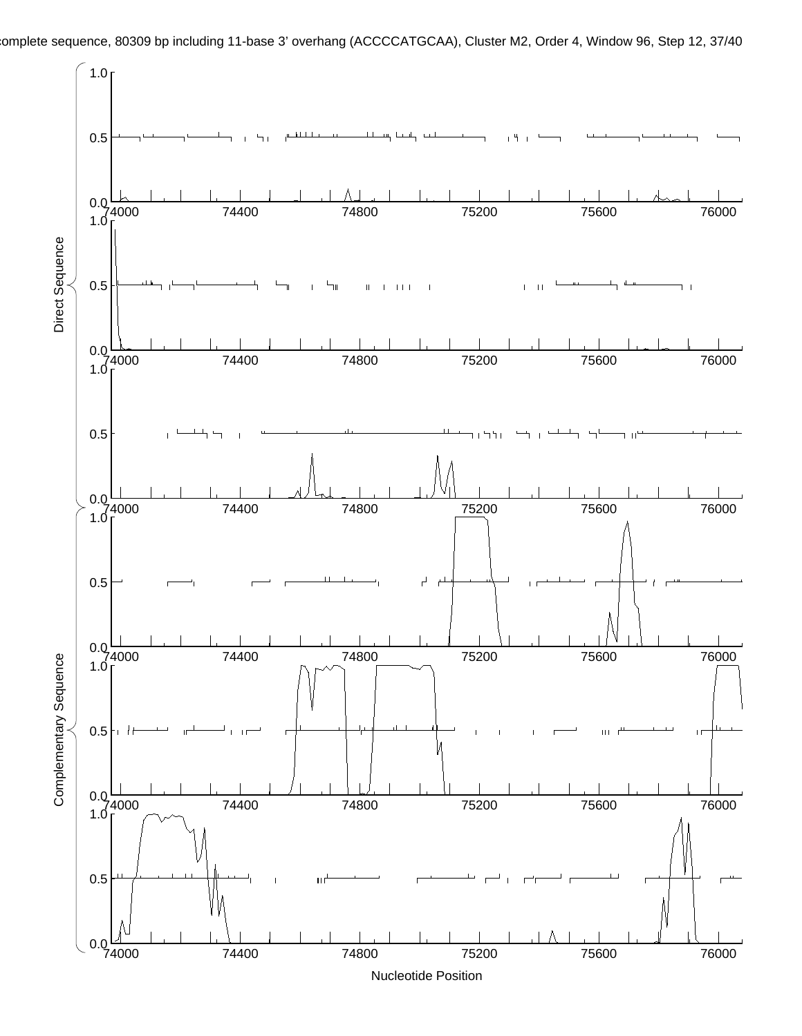

Nucleotide Position 74000 74400 74800 75200 75600 76000

 $0.0\frac{1}{74000}$ 

omplete sequence, 80309 bp including 11-base 3' overhang (ACCCCATGCAA), Cluster M2, Order 4, Window 96, Step 12, 37/40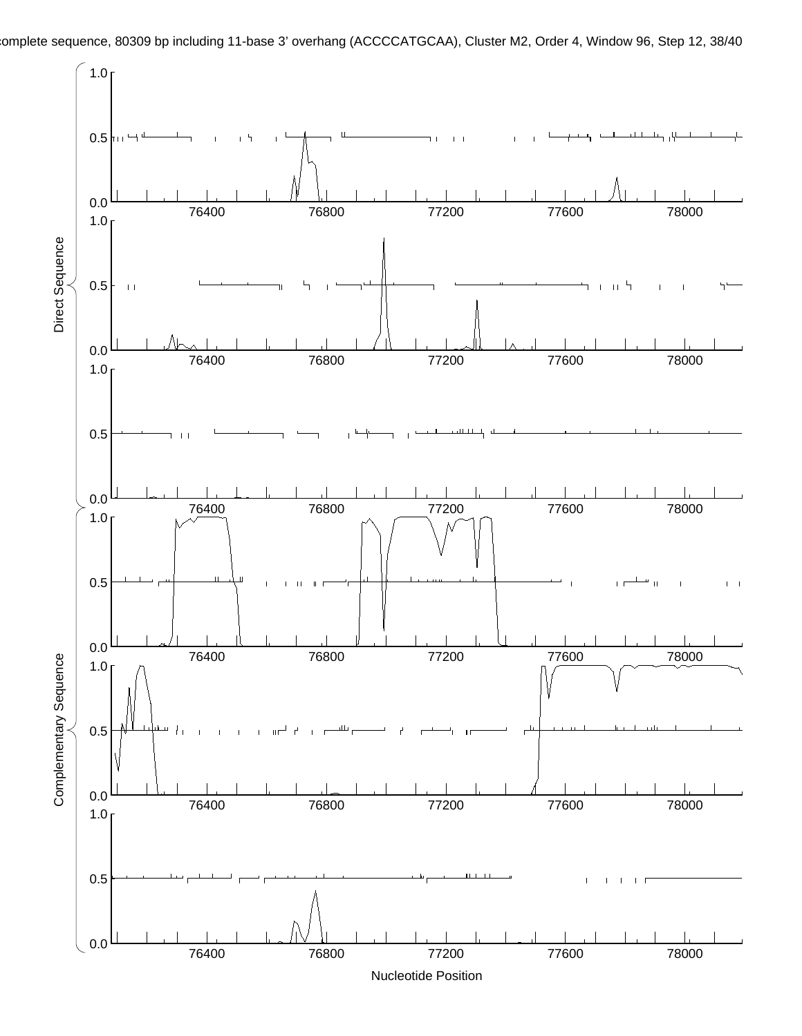